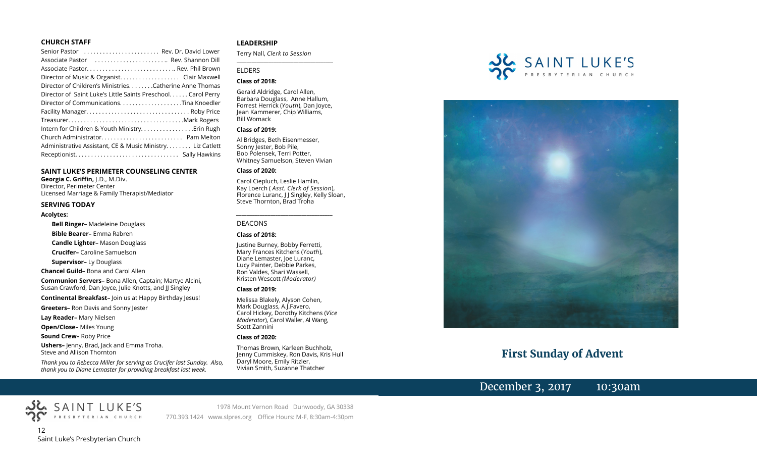#### **CHURCH STAFF**

| Senior Pastor  Rev. Dr. David Lower                          |
|--------------------------------------------------------------|
| Associate Pastor  Rev. Shannon Dill                          |
|                                                              |
| Director of Music & Organist. Clair Maxwell                  |
| Director of Children's Ministries. Catherine Anne Thomas     |
| Director of Saint Luke's Little Saints Preschool Carol Perry |
| Director of CommunicationsTina Knoedler                      |
|                                                              |
|                                                              |
|                                                              |
|                                                              |
| Administrative Assistant, CE & Music Ministry Liz Catlett    |
|                                                              |

#### **SAINT LUKE'S PERIMETER COUNSELING CENTER**

**Georgia C. Griffin,** J.D., M.Div. Director, Perimeter Center Licensed Marriage & Family Therapist/Mediator

#### **SERVING TODAY**

#### **Acolytes:**

**Bell Ringer–** Madeleine Douglass

**Bible Bearer–** Emma Rabren

**Candle Lighter–** Mason Douglass

**Crucifer–** Caroline Samuelson

**Supervisor–** Ly Douglass

**Chancel Guild–** Bona and Carol Allen

**Communion Servers–** Bona Allen, Captain; Martye Alcini, Susan Crawford, Dan Joyce, Julie Knotts, and JJ Singley

**Continental Breakfast–** Join us at Happy Birthday Jesus!

**Greeters–** Ron Davis and Sonny Jester

**Lay Reader–** Mary Nielsen

**Open/Close–** Miles Young

**Sound Crew–** Roby Price

**Ushers–** Jenny, Brad, Jack and Emma Troha. Steve and Allison Thornton

SAINT LUKE'S

*Thank you to Rebecca Miller for serving as Crucifer last Sunday. Also, thank you to Diane Lemaster for providing breakfast last week.*

#### **LEADERSHIP**

Terry Nall, *Clerk to Session* 

**\_\_\_\_\_\_\_\_\_\_\_\_\_\_\_\_\_\_\_\_\_\_\_\_\_\_\_\_\_\_\_\_\_\_\_\_\_\_\_**

#### ELDERS

#### **Class of 2018:**

Gerald Aldridge, Carol Allen, Barbara Douglass, Anne Hallum, Forrest Herrick (*Youth*), Dan Joyce, Jean Kammerer, Chip Williams, Bill Womack

#### **Class of 2019:**

Al Bridges, Beth Eisenmesser, Sonny Jester, Bob Pile, Bob Polensek, Terri Potter, Whitney Samuelson, Steven Vivian

#### **Class of 2020:**

Carol Ciepluch, Leslie Hamlin, Kay Loerch ( *Asst. Clerk of Session*), Florence Luranc, J J Singley, Kelly Sloan, Steve Thornton, Brad Troha

*\_\_\_\_\_\_\_\_\_\_\_\_\_\_\_\_\_\_\_\_\_\_\_\_\_\_\_\_\_\_\_\_\_\_\_\_\_*

#### DEACONS

#### **Class of 2018:**

Justine Burney, Bobby Ferretti, Mary Frances Kitchens (*Youth*), Diane Lemaster, Joe Luranc, Lucy Painter, Debbie Parkes, Ron Valdes, Shari Wassell, Kristen Wescott *(Moderator)*

#### **Class of 2019:**

Melissa Blakely, Alyson Cohen, Mark Douglass, A.J.Favero, Carol Hickey, Dorothy Kitchens (*Vice Moderator*), Carol Waller, Al Wang, Scott Zannini

#### **Class of 2020:**

Thomas Brown, Karleen Buchholz, Jenny Cummiskey, Ron Davis, Kris Hull Daryl Moore, Emily Ritzler, Vivian Smith, Suzanne Thatcher





# **First Sunday of Advent**

# December 3, 2017 10:30am



1978 Mount Vernon Road Dunwoody, GA 30338 770.393.1424 www.slpres.org Office Hours: M-F, 8:30am-4:30pm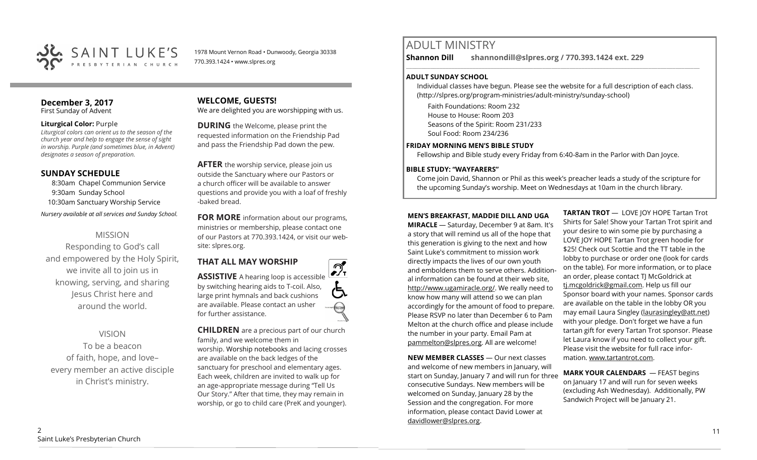

1978 Mount Vernon Road • Dunwoody, Georgia 30338 770.393.1424 • www.slpres.org

#### **December 3, 2017**  First Sunday of Advent

#### **Liturgical Color:** Purple

*Liturgical colors can orient us to the season of the church year and help to engage the sense of sight in worship. Purple (and sometimes blue, in Advent) designates a season of preparation.*

# **SUNDAY SCHEDULE**

8:30am Chapel Communion Service 9:30am Sunday School 10:30am Sanctuary Worship Service *Nursery available at all services and Sunday School.* 

# MISSION

Responding to God's call and empowered by the Holy Spirit, we invite all to join us in knowing, serving, and sharing Jesus Christ here and around the world.

# VISION

To be a beacon of faith, hope, and love– every member an active disciple in Christ's ministry.

# **WELCOME, GUESTS!**

We are delighted you are worshipping with us.

**DURING** the Welcome, please print the requested information on the Friendship Pad and pass the Friendship Pad down the pew.

**AFTER** the worship service, please join us outside the Sanctuary where our Pastors or a church officer will be available to answer questions and provide you with a loaf of freshly -baked bread.

**FOR MORE** information about our programs, ministries or membership, please contact one of our Pastors at 770.393.1424, or visit our website: slpres.org.

# **THAT ALL MAY WORSHIP**

 $\mathcal{D}_{\mathrm{r}}$ **ASSISTIVE** A hearing loop is accessible by switching hearing aids to T-coil. Also, large print hymnals and back cushions are available. Please contact an usher thistext for further assistance.

**CHILDREN** are a precious part of our church family, and we welcome them in worship. Worship notebooks and lacing crosses are available on the back ledges of the sanctuary for preschool and elementary ages. Each week, children are invited to walk up for an age-appropriate message during "Tell Us Our Story." After that time, they may remain in worship, or go to child care (PreK and younger).

# ADULT MINISTRY

**Shannon Dill shannondill@slpres.org / 770.393.1424 ext. 229** 

#### **ADULT SUNDAY SCHOOL**

Individual classes have begun. Please see the website for a full description of each class. (http://slpres.org/program-ministries/adult-ministry/sunday-school)

 $\_$  ,  $\_$  ,  $\_$  ,  $\_$  ,  $\_$  ,  $\_$  ,  $\_$  ,  $\_$  ,  $\_$  ,  $\_$  ,  $\_$  ,  $\_$  ,  $\_$  ,  $\_$  ,  $\_$  ,  $\_$  ,  $\_$  ,  $\_$  ,  $\_$  ,  $\_$ 

Faith Foundations: Room 232 House to House: Room 203 Seasons of the Spirit: Room 231/233 Soul Food: Room 234/236

## **FRIDAY MORNING MEN'S BIBLE STUDY**

Fellowship and Bible study every Friday from 6:40-8am in the Parlor with Dan Joyce.

## **BIBLE STUDY: "WAYFARERS"**

Come join David, Shannon or Phil as this week's preacher leads a study of the scripture for the upcoming Sunday's worship. Meet on Wednesdays at 10am in the church library.

## **MEN'S BREAKFAST, MADDIE DILL AND UGA**

**MIRACLE** — Saturday, December 9 at 8am. It's a story that will remind us all of the hope that this generation is giving to the next and how Saint Luke's commitment to mission work directly impacts the lives of our own youth and emboldens them to serve others. Additional information can be found at their web site, [http://www.ugamiracle.org/.](http://www.ugamiracle.org/) We really need to know how many will attend so we can plan accordingly for the amount of food to prepare. Please RSVP no later than December 6 to Pam Melton at the church office and please include the number in your party. Email Pam at [pammelton@slpres.org.](mailto:pammelton@slpres.org) All are welcome!

**NEW MEMBER CLASSES** — Our next classes and welcome of new members in January, will start on Sunday, January 7 and will run for three consecutive Sundays. New members will be welcomed on Sunday, January 28 by the Session and the congregation. For more information, please contact David Lower at davidlower@slpres.org.

**TARTAN TROT** — LOVE IOY HOPE Tartan Trot Shirts for Sale! Show your Tartan Trot spirit and your desire to win some pie by purchasing a LOVE JOY HOPE Tartan Trot green hoodie for \$25! Check out Scottie and the TT table in the lobby to purchase or order one (look for cards on the table). For more information, or to place an order, please contact TJ McGoldrick at [tj.mcgoldrick@gmail.com.](mailto:tj.mcgoldrick@gmail.com) Help us fill our Sponsor board with your names. Sponsor cards are available on the table in the lobby OR you may email Laura Singley [\(laurasingley@att.net\)](mailto:laurasingley@att.net) with your pledge. Don't forget we have a fun tartan gift for every Tartan Trot sponsor. Please let Laura know if you need to collect your gift. Please visit the website for full race information. [www.tartantrot.com.](http://www.tartantrot.com/)

**MARK YOUR CALENDARS** — FEAST begins on January 17 and will run for seven weeks (excluding Ash Wednesday). Additionally, PW Sandwich Project will be January 21.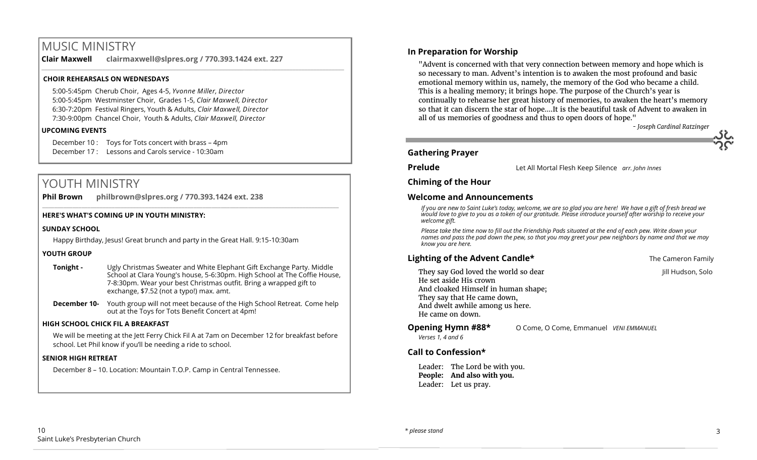# MUSIC MINISTRY

**Clair Maxwell clairmaxwell@slpres.org / 770.393.1424 ext. 227** 

\_\_\_\_\_\_\_\_\_\_\_\_\_\_\_\_\_\_\_\_\_\_\_\_\_\_\_\_\_\_\_\_\_\_\_\_\_\_\_\_\_\_\_\_\_\_\_\_\_\_\_\_\_\_\_\_\_\_\_\_\_\_\_\_\_\_\_\_\_\_\_\_\_\_\_\_\_\_\_\_\_\_\_\_\_\_\_\_\_\_\_\_\_\_\_\_\_\_\_\_

## **CHOIR REHEARSALS ON WEDNESDAYS**

5:00-5:45pm Cherub Choir, Ages 4-5, *Yvonne Miller, Director*  5:00-5:45pm Westminster Choir, Grades 1-5, *Clair Maxwell, Director*  6:30-7:20pm Festival Ringers, Youth & Adults, *Clair Maxwell, Director*  7:30-9:00pm Chancel Choir, Youth & Adults, *Clair Maxwell, Director* 

#### **UPCOMING EVENTS**

December 10 : Toys for Tots concert with brass – 4pm December 17 : Lessons and Carols service - 10:30am

# YOUTH MINISTRY

**Phil Brown philbrown@slpres.org / 770.393.1424 ext. 238** 

#### **HERE'S WHAT'S COMING UP IN YOUTH MINISTRY:**

#### **SUNDAY SCHOOL**

Happy Birthday, Jesus! Great brunch and party in the Great Hall. 9:15-10:30am

#### **YOUTH GROUP**

**Tonight -** Ugly Christmas Sweater and White Elephant Gift Exchange Party. Middle School at Clara Young's house, 5-6:30pm. High School at The Coffie House, 7-8:30pm. Wear your best Christmas outfit. Bring a wrapped gift to exchange, \$7.52 (not a typo!) max. amt.

 $\_$  ,  $\_$  ,  $\_$  ,  $\_$  ,  $\_$  ,  $\_$  ,  $\_$  ,  $\_$  ,  $\_$  ,  $\_$  ,  $\_$  ,  $\_$  ,  $\_$  ,  $\_$  ,  $\_$  ,  $\_$  ,  $\_$  ,  $\_$  ,  $\_$  ,  $\_$ 

**December 10-** Youth group will not meet because of the High School Retreat. Come help out at the Toys for Tots Benefit Concert at 4pm!

#### **HIGH SCHOOL CHICK FIL A BREAKFAST**

We will be meeting at the Jett Ferry Chick Fil A at 7am on December 12 for breakfast before school. Let Phil know if you'll be needing a ride to school.

#### **SENIOR HIGH RETREAT**

December 8 – 10. Location: Mountain T.O.P. Camp in Central Tennessee.

## **In Preparation for Worship**

"Advent is concerned with that very connection between memory and hope which is so necessary to man. Advent's intention is to awaken the most profound and basic emotional memory within us, namely, the memory of the God who became a child. This is a healing memory; it brings hope. The purpose of the Church's year is continually to rehearse her great history of memories, to awaken the heart's memory so that it can discern the star of hope.…It is the beautiful task of Advent to awaken in all of us memories of goodness and thus to open doors of hope."

*- Joseph Cardinal Ratzinger*

## **Gathering Prayer**

**Prelude** Let All Mortal Flesh Keep Silence *arr. John Innes*

## **Chiming of the Hour**

## **Welcome and Announcements**

*If you are new to Saint Luke's today, welcome, we are so glad you are here! We have a gift of fresh bread we would love to give to you as a token of our gratitude. Please introduce yourself after worship to receive your welcome gift.*

*Please take the time now to fill out the Friendship Pads situated at the end of each pew. Write down your names and pass the pad down the pew, so that you may greet your pew neighbors by name and that we may know you are here.*

# **Lighting of the Advent Candle\* The Cameron Family The Cameron Family**

- They say God loved the world so dear Jill Hudson, Solo He set aside His crown And cloaked Himself in human shape; They say that He came down, And dwelt awhile among us here. He came on down.
- *Verses 1, 4 and 6*

**Opening Hymn #88\*** O Come, O Come, Emmanuel *VENI EMMANUEL* 

# **Call to Confession\***

Leader: The Lord be with you. **People: And also with you.** Leader: Let us pray.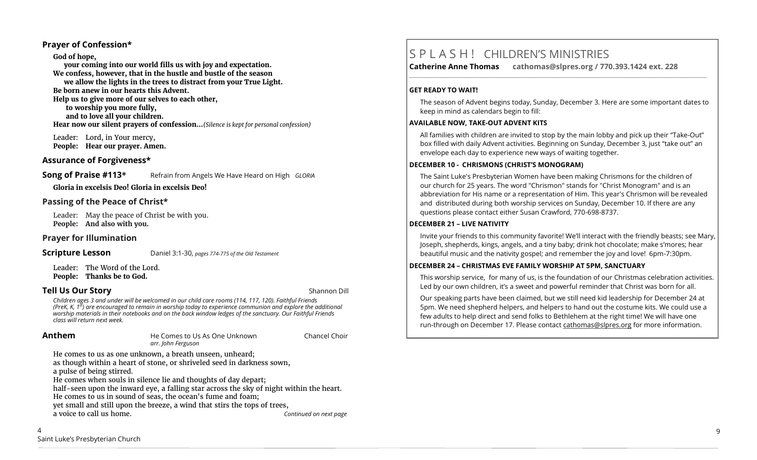## **Prayer of Confession\***

#### **God of hope,**

**your coming into our world fills us with joy and expectation. We confess, however, that in the hustle and bustle of the season we allow the lights in the trees to distract from your True Light. Be born anew in our hearts this Advent. Help us to give more of our selves to each other, to worship you more fully, and to love all your children. Hear now our silent prayers of confession…***(Silence is kept for personal confession)* 

Leader: Lord, in Your mercy, **People: Hear our prayer. Amen.**

## **Assurance of Forgiveness\***

## **Song of Praise #113**<sup>\*</sup> Refrain from Angels We Have Heard on High *GLORIA*

**Gloria in excelsis Deo! Gloria in excelsis Deo!** 

## **Passing of the Peace of Christ\***

Leader: May the peace of Christ be with you. **People: And also with you.**

#### **Prayer for Illumination**

**Scripture Lesson** Daniel 3:1-30, *pages 774-775 of the Old Testament*

Leader: The Word of the Lord. **People: Thanks be to God.**

## **Tell Us Our Story Shannon Dill Contract Contract Contract Contract Contract Contract Contract Contract Contract Contract Contract Contract Contract Contract Contract Contract Contract Contract Contract Contract Contra**

Children ages 3 and under will be welcomed in our child care rooms (114, 117, 120). Faithful Friends<br>(PreK, K, 1<sup>st</sup>) are encouraged to remain in worship today to experience communion and explore the additional *worship materials in their notebooks and on the back window ledges of the sanctuary. Our Faithful Friends class will return next week.*

 $\overline{\Delta}$ 

**Anthem He Comes to Us As One Unknown** Chancel Choir *arr. John Ferguson* 

He comes to us as one unknown, a breath unseen, unheard; as though within a heart of stone, or shriveled seed in darkness sown, a pulse of being stirred.

He comes when souls in silence lie and thoughts of day depart;

half-seen upon the inward eye, a falling star across the sky of night within the heart. He comes to us in sound of seas, the ocean's fume and foam;

yet small and still upon the breeze, a wind that stirs the tops of trees, a voice to call us home. *Continued on next page*

# S P L A S H ! CHILDREN'S MINISTRIES

**Catherine Anne Thomas cathomas@slpres.org / 770.393.1424 ext. 228** 

#### **GET READY TO WAIT!**

The season of Advent begins today, Sunday, December 3. Here are some important dates to keep in mind as calendars begin to fill:

**\_\_\_\_\_\_\_\_\_\_\_\_\_\_\_\_\_\_\_\_\_\_\_\_\_\_\_\_\_\_\_\_\_\_\_\_\_\_\_\_\_\_\_\_\_\_\_\_\_\_\_\_\_\_\_\_\_\_\_\_\_\_\_\_\_\_\_\_\_\_\_\_\_\_\_\_\_\_\_\_\_\_\_\_\_\_\_\_\_\_\_\_\_\_\_\_\_\_\_\_\_\_\_\_\_\_\_** 

#### **AVAILABLE NOW, TAKE-OUT ADVENT KITS**

All families with children are invited to stop by the main lobby and pick up their "Take-Out" box filled with daily Advent activities. Beginning on Sunday, December 3, just "take out" an envelope each day to experience new ways of waiting together.

#### **DECEMBER 10 - CHRISMONS (CHRIST'S MONOGRAM)**

The Saint Luke's Presbyterian Women have been making Chrismons for the children of our church for 25 years. The word "Chrismon" stands for "Christ Monogram" and is an abbreviation for His name or a representation of Him. This year's Chrismon will be revealed and distributed during both worship services on Sunday, December 10. If there are any questions please contact either Susan Crawford, 770-698-8737.

#### **DECEMBER 21 – LIVE NATIVITY**

Invite your friends to this community favorite! We'll interact with the friendly beasts; see Mary, Joseph, shepherds, kings, angels, and a tiny baby; drink hot chocolate; make s'mores; hear beautiful music and the nativity gospel; and remember the joy and love! 6pm-7:30pm.

#### **DECEMBER 24 – CHRISTMAS EVE FAMILY WORSHIP AT 5PM, SANCTUARY**

This worship service, for many of us, is the foundation of our Christmas celebration activities. Led by our own children, it's a sweet and powerful reminder that Christ was born for all.

Our speaking parts have been claimed, but we still need kid leadership for December 24 at 5pm. We need shepherd helpers, and helpers to hand out the costume kits. We could use a few adults to help direct and send folks to Bethlehem at the right time! We will have one run-through on December 17. Please contact [cathomas@slpres.org](mailto:cathomas@slpres.org) for more information.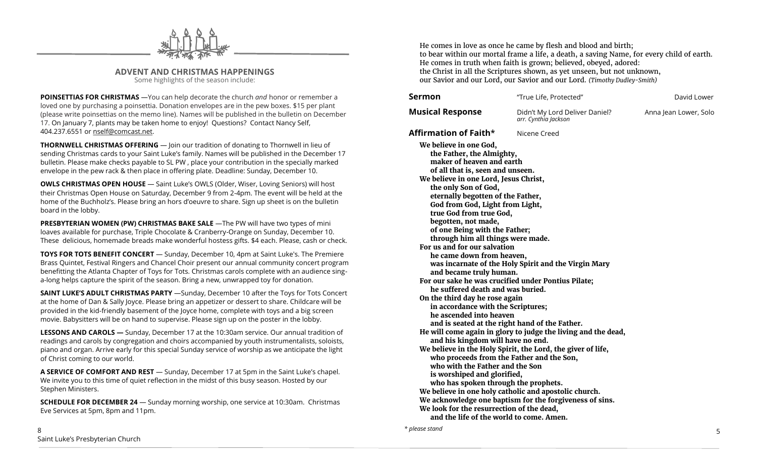

**ADVENT AND CHRISTMAS HAPPENINGS** Some highlights of the season include:

**POINSETTIAS FOR CHRISTMAS** —You can help decorate the church *and* honor or remember a loved one by purchasing a poinsettia. Donation envelopes are in the pew boxes. \$15 per plant (please write poinsettias on the memo line). Names will be published in the bulletin on December 17. On January 7, plants may be taken home to enjoy! Questions? Contact Nancy Self, 404.237.6551 or nself@comcast.net.

**THORNWELL CHRISTMAS OFFERING** — Join our tradition of donating to Thornwell in lieu of sending Christmas cards to your Saint Luke's family. Names will be published in the December 17 bulletin. Please make checks payable to SL PW , place your contribution in the specially marked envelope in the pew rack & then place in offering plate. Deadline: Sunday, December 10.

**OWLS CHRISTMAS OPEN HOUSE** - Saint Luke's OWLS (Older, Wiser, Loving Seniors) will host their Christmas Open House on Saturday, December 9 from 2-4pm. The event will be held at the home of the Buchholz's. Please bring an hors d'oeuvre to share. Sign up sheet is on the bulletin board in the lobby.

**PRESBYTERIAN WOMEN (PW) CHRISTMAS BAKE SALE** —The PW will have two types of mini loaves available for purchase, Triple Chocolate & Cranberry-Orange on Sunday, December 10. These delicious, homemade breads make wonderful hostess gifts. \$4 each. Please, cash or check.

**TOYS FOR TOTS BENEFIT CONCERT** — Sunday, December 10, 4pm at Saint Luke's. The Premiere Brass Quintet, Festival Ringers and Chancel Choir present our annual community concert program benefitting the Atlanta Chapter of Toys for Tots. Christmas carols complete with an audience singa-long helps capture the spirit of the season. Bring a new, unwrapped toy for donation.

**SAINT LUKE'S ADULT CHRISTMAS PARTY** —Sunday, December 10 after the Toys for Tots Concert at the home of Dan & Sally Joyce. Please bring an appetizer or dessert to share. Childcare will be provided in the kid-friendly basement of the Joyce home, complete with toys and a big screen movie. Babysitters will be on hand to supervise. Please sign up on the poster in the lobby.

**LESSONS AND CAROLS —** Sunday, December 17 at the 10:30am service. Our annual tradition of readings and carols by congregation and choirs accompanied by youth instrumentalists, soloists, piano and organ. Arrive early for this special Sunday service of worship as we anticipate the light of Christ coming to our world.

**A SERVICE OF COMFORT AND REST** — Sunday, December 17 at 5pm in the Saint Luke's chapel. We invite you to this time of quiet reflection in the midst of this busy season. Hosted by our Stephen Ministers.

**SCHEDULE FOR DECEMBER 24** — Sunday morning worship, one service at 10:30am. Christmas Eve Services at 5pm, 8pm and 11pm.

He comes in love as once he came by flesh and blood and birth; to bear within our mortal frame a life, a death, a saving Name, for every child of earth. He comes in truth when faith is grown; believed, obeyed, adored: the Christ in all the Scriptures shown, as yet unseen, but not unknown, our Savior and our Lord, our Savior and our Lord. *(Timothy Dudley-Smith)* 

| Sermon                                                                                                                                                                                                                                                                                                                                                                                                                                                                                                                                                                                                                                                                                                                                                                                                                                                                                                                                                                                                                                                                       | "True Life, Protected"                                                                                                                                                                                                                          | David Lower           |
|------------------------------------------------------------------------------------------------------------------------------------------------------------------------------------------------------------------------------------------------------------------------------------------------------------------------------------------------------------------------------------------------------------------------------------------------------------------------------------------------------------------------------------------------------------------------------------------------------------------------------------------------------------------------------------------------------------------------------------------------------------------------------------------------------------------------------------------------------------------------------------------------------------------------------------------------------------------------------------------------------------------------------------------------------------------------------|-------------------------------------------------------------------------------------------------------------------------------------------------------------------------------------------------------------------------------------------------|-----------------------|
| <b>Musical Response</b>                                                                                                                                                                                                                                                                                                                                                                                                                                                                                                                                                                                                                                                                                                                                                                                                                                                                                                                                                                                                                                                      | Didn't My Lord Deliver Daniel?<br>arr. Cynthia Jackson                                                                                                                                                                                          | Anna Jean Lower, Solo |
| Affirmation of Faith*                                                                                                                                                                                                                                                                                                                                                                                                                                                                                                                                                                                                                                                                                                                                                                                                                                                                                                                                                                                                                                                        | Nicene Creed                                                                                                                                                                                                                                    |                       |
| We believe in one God,<br>the Father, the Almighty,<br>maker of heaven and earth<br>of all that is, seen and unseen.<br>We believe in one Lord, Jesus Christ,<br>the only Son of God,<br>eternally begotten of the Father,<br>God from God, Light from Light,<br>true God from true God,<br>begotten, not made,<br>of one Being with the Father;<br>through him all things were made.<br>For us and for our salvation<br>he came down from heaven,<br>and became truly human.<br>For our sake he was crucified under Pontius Pilate;<br>he suffered death and was buried.<br>On the third day he rose again<br>in accordance with the Scriptures;<br>he ascended into heaven<br>and is seated at the right hand of the Father.<br>and his kingdom will have no end.<br>who proceeds from the Father and the Son,<br>who with the Father and the Son<br>is worshiped and glorified,<br>who has spoken through the prophets.<br>We believe in one holy catholic and apostolic church.<br>We look for the resurrection of the dead,<br>and the life of the world to come. Amen. | was incarnate of the Holy Spirit and the Virgin Mary<br>He will come again in glory to judge the living and the dead,<br>We believe in the Holy Spirit, the Lord, the giver of life,<br>We acknowledge one baptism for the forgiveness of sins. |                       |

*\* please stand*